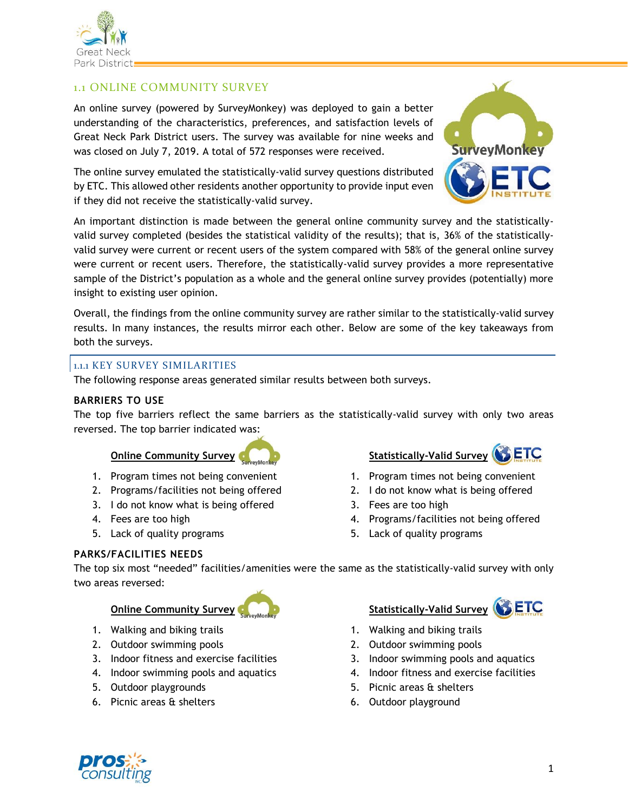

SETC

# An online survey (powered by SurveyMonkey) was deployed to gain a better

1.1 ONLINE COMMUNITY SURVEY

understanding of the characteristics, preferences, and satisfaction levels of Great Neck Park District users. The survey was available for nine weeks and was closed on July 7, 2019. A total of 572 responses were received.

The online survey emulated the statistically-valid survey questions distributed by ETC. This allowed other residents another opportunity to provide input even if they did not receive the statistically-valid survey.

An important distinction is made between the general online community survey and the statisticallyvalid survey completed (besides the statistical validity of the results); that is, 36% of the statisticallyvalid survey were current or recent users of the system compared with 58% of the general online survey were current or recent users. Therefore, the statistically-valid survey provides a more representative sample of the District's population as a whole and the general online survey provides (potentially) more insight to existing user opinion.

Overall, the findings from the online community survey are rather similar to the statistically-valid survey results. In many instances, the results mirror each other. Below are some of the key takeaways from both the surveys.

#### 1.1.1 KEY SURVEY SIMILARITIES

The following response areas generated similar results between both surveys.

#### **BARRIERS TO USE**

The top five barriers reflect the same barriers as the statistically-valid survey with only two areas reversed. The top barrier indicated was:

- 1. Program times not being convenient
- 2. Programs/facilities not being offered
- 3. I do not know what is being offered
- 4. Fees are too high
- 5. Lack of quality programs

#### **PARKS/FACILITIES NEEDS**

The top six most "needed" facilities/amenities were the same as the statistically-valid survey with only two areas reversed:

## **Online Community Survey <b>Statistically-Valid** Survey

- 1. Walking and biking trails
- 2. Outdoor swimming pools
- 3. Indoor fitness and exercise facilities
- 4. Indoor swimming pools and aquatics
- 5. Outdoor playgrounds
- 6. Picnic areas & shelters

# **Online Community Survey <b>Community Statistically-Valid Survey (STETC**

- 1. Program times not being convenient
- 2. I do not know what is being offered
- 3. Fees are too high
- 4. Programs/facilities not being offered
- 5. Lack of quality programs

### 1. Walking and biking trails

- 2. Outdoor swimming pools
- 3. Indoor swimming pools and aquatics
- 4. Indoor fitness and exercise facilities
- 5. Picnic areas & shelters
- 6. Outdoor playground









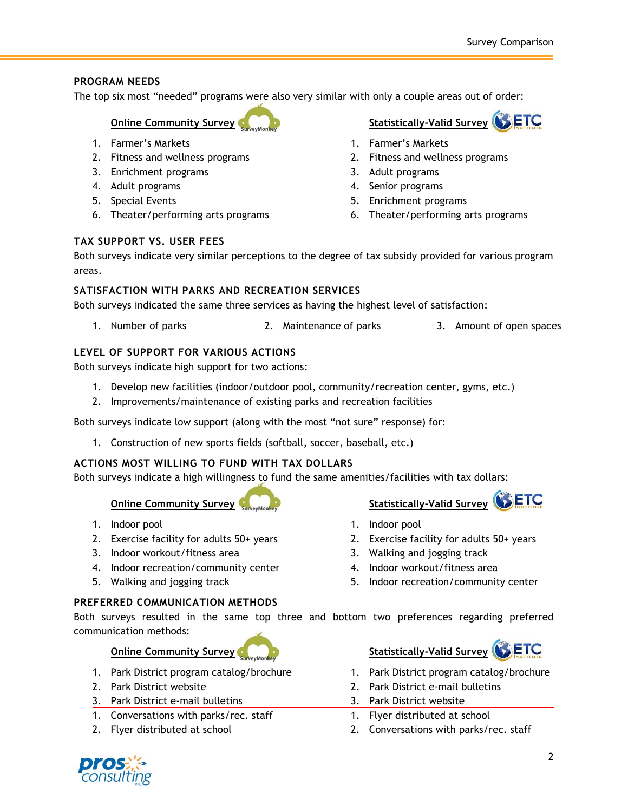### **PROGRAM NEEDS**

The top six most "needed" programs were also very similar with only a couple areas out of order:

### **Online Community Survey <b>COLLEGE COMMUNIST** Statistically-Valid Survey **COLLEGE**

- 1. Farmer's Markets
- 2. Fitness and wellness programs
- 3. Enrichment programs
- 4. Adult programs
- 5. Special Events
- 6. Theater/performing arts programs

### **TAX SUPPORT VS. USER FEES**

Both surveys indicate very similar perceptions to the degree of tax subsidy provided for various program areas.

#### **SATISFACTION WITH PARKS AND RECREATION SERVICES**

Both surveys indicated the same three services as having the highest level of satisfaction:

1. Number of parks 2. Maintenance of parks 3. Amount of open spaces

### **LEVEL OF SUPPORT FOR VARIOUS ACTIONS**

Both surveys indicate high support for two actions:

- 1. Develop new facilities (indoor/outdoor pool, community/recreation center, gyms, etc.)
- 2. Improvements/maintenance of existing parks and recreation facilities

Both surveys indicate low support (along with the most "not sure" response) for:

1. Construction of new sports fields (softball, soccer, baseball, etc.)

#### **ACTIONS MOST WILLING TO FUND WITH TAX DOLLARS**

Both surveys indicate a high willingness to fund the same amenities/facilities with tax dollars:

# **Online Community Survey Survey Monkey Community Statistically-Valid Survey COLLETC.**

- 1. Indoor pool
- 2. Exercise facility for adults 50+ years
- 3. Indoor workout/fitness area
- 4. Indoor recreation/community center
- 5. Walking and jogging track

#### **PREFERRED COMMUNICATION METHODS**

Both surveys resulted in the same top three and bottom two preferences regarding preferred communication methods:

# **Online Community Survey <b>Community Statistically-Valid Survey CO**

- 1. Park District program catalog/brochure
- 2. Park District website
- 3. Park District e-mail bulletins
- 1. Conversations with parks/rec. staff
- 2. Flyer distributed at school

3. Walking and jogging track 4. Indoor workout/fitness area

1. Park District program catalog/brochure

5. Indoor recreation/community center

- 2. Park District e-mail bulletins
- 3. Park District website

1. Indoor pool

- 1. Flyer distributed at school
- 2. Conversations with parks/rec. staff



- 1. Farmer's Markets
- 2. Fitness and wellness programs
- 3. Adult programs
- 4. Senior programs
- 5. Enrichment programs
- 6. Theater/performing arts programs